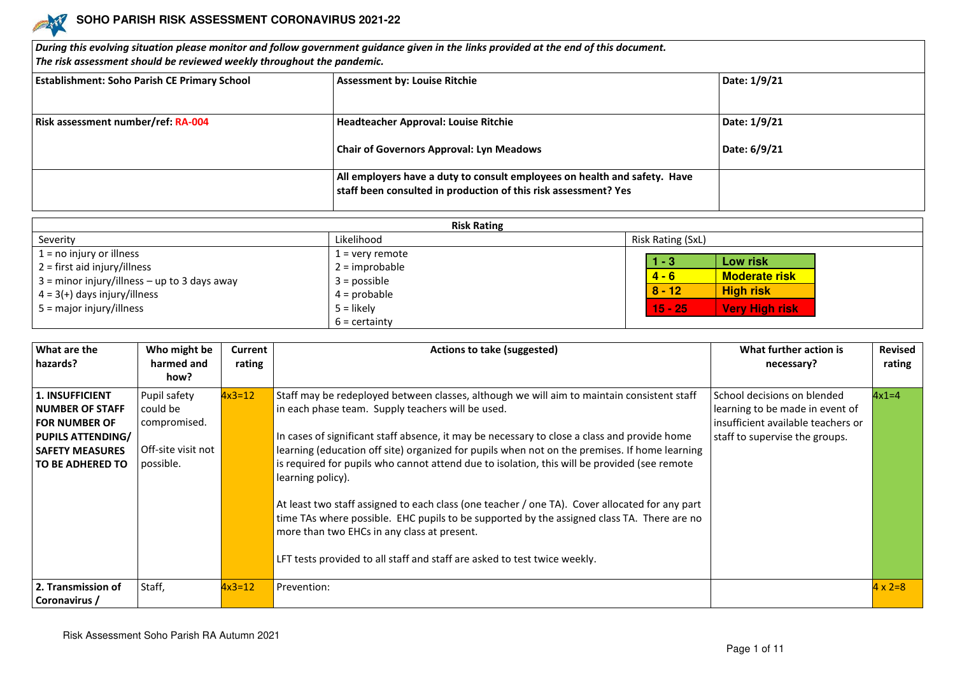

| $\bm{D}$ uring this evolving situation please monitor and follow government guidance given in the links provided at the end of this document.<br>The risk assessment should be reviewed weekly throughout the pandemic. |                                                                                                                                              |              |  |  |  |  |
|-------------------------------------------------------------------------------------------------------------------------------------------------------------------------------------------------------------------------|----------------------------------------------------------------------------------------------------------------------------------------------|--------------|--|--|--|--|
| <b>Establishment: Soho Parish CE Primary School</b>                                                                                                                                                                     | <b>Assessment by: Louise Ritchie</b>                                                                                                         | Date: 1/9/21 |  |  |  |  |
| Risk assessment number/ref: RA-004                                                                                                                                                                                      | Headteacher Approval: Louise Ritchie                                                                                                         | Date: 1/9/21 |  |  |  |  |
|                                                                                                                                                                                                                         | <b>Chair of Governors Approval: Lyn Meadows</b>                                                                                              | Date: 6/9/21 |  |  |  |  |
|                                                                                                                                                                                                                         | All employers have a duty to consult employees on health and safety. Have<br>staff been consulted in production of this risk assessment? Yes |              |  |  |  |  |

| <b>Risk Rating</b>                                                                                                                               |                                                                           |                                                                                      |  |  |  |
|--------------------------------------------------------------------------------------------------------------------------------------------------|---------------------------------------------------------------------------|--------------------------------------------------------------------------------------|--|--|--|
| Severity                                                                                                                                         | Likelihood                                                                | Risk Rating (SxL)                                                                    |  |  |  |
| $1 = no$ injury or illness<br>$2 =$ first aid injury/illness<br>$3 =$ minor injury/illness – up to 3 days away<br>$4 = 3(+)$ days injury/illness | $1 =$ very remote<br>$2 =$ improbable<br>$3 = possible$<br>$4 =$ probable | Low risk<br>l - 3<br>$4 - 6$<br><b>Moderate risk</b><br>$8 - 12$<br><b>High risk</b> |  |  |  |
| $5 =$ major injury/illness                                                                                                                       | $5 =$ likely<br>$6 =$ certainty                                           | $15 - 251$<br><b>Very High risk</b>                                                  |  |  |  |

| What are the<br>hazards? | Who might be<br>harmed and | Current<br>rating | Actions to take (suggested)                                                                    | What further action is<br>necessary? | <b>Revised</b><br>rating |
|--------------------------|----------------------------|-------------------|------------------------------------------------------------------------------------------------|--------------------------------------|--------------------------|
|                          | how?                       |                   |                                                                                                |                                      |                          |
| 1. INSUFFICIENT          | Pupil safety               | $4x3=12$          | Staff may be redeployed between classes, although we will aim to maintain consistent staff     | School decisions on blended          | $4x1=4$                  |
| <b>NUMBER OF STAFF</b>   | l could be                 |                   | in each phase team. Supply teachers will be used.                                              | learning to be made in event of      |                          |
| <b>FOR NUMBER OF</b>     | compromised.               |                   |                                                                                                | insufficient available teachers or   |                          |
| <b>PUPILS ATTENDING/</b> |                            |                   | In cases of significant staff absence, it may be necessary to close a class and provide home   | staff to supervise the groups.       |                          |
| <b>SAFETY MEASURES</b>   | Off-site visit not         |                   | learning (education off site) organized for pupils when not on the premises. If home learning  |                                      |                          |
| <b>TO BE ADHERED TO</b>  | possible.                  |                   | is required for pupils who cannot attend due to isolation, this will be provided (see remote   |                                      |                          |
|                          |                            |                   | learning policy).                                                                              |                                      |                          |
|                          |                            |                   | At least two staff assigned to each class (one teacher / one TA). Cover allocated for any part |                                      |                          |
|                          |                            |                   | time TAs where possible. EHC pupils to be supported by the assigned class TA. There are no     |                                      |                          |
|                          |                            |                   | more than two EHCs in any class at present.                                                    |                                      |                          |
|                          |                            |                   | LFT tests provided to all staff and staff are asked to test twice weekly.                      |                                      |                          |
| 2. Transmission of       | Staff,                     | $4x3=12$          | Prevention:                                                                                    |                                      | $4 \times 2=8$           |
| Coronavirus /            |                            |                   |                                                                                                |                                      |                          |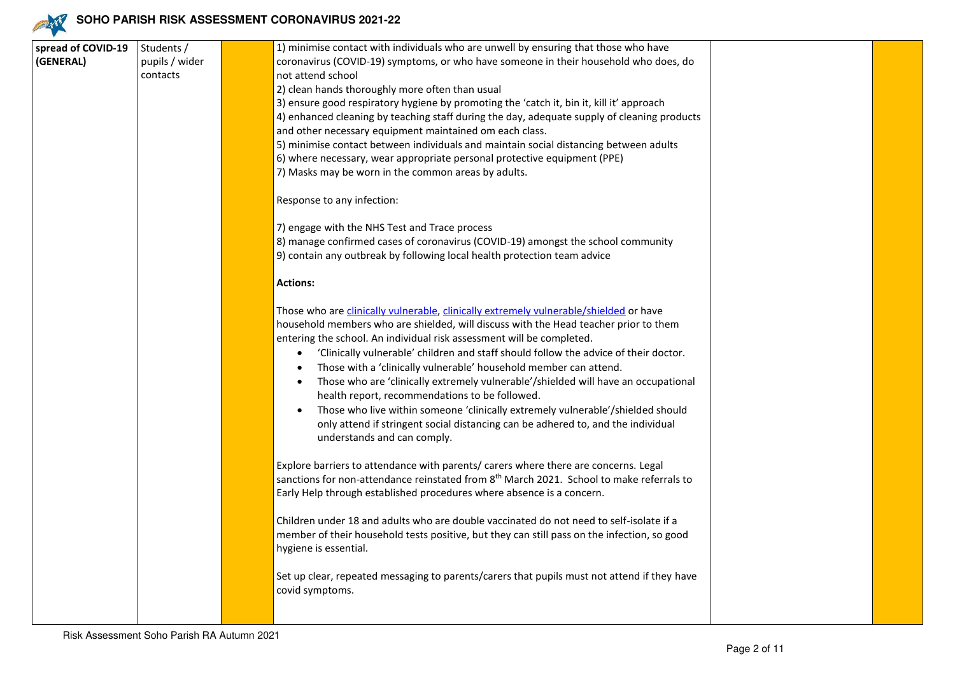

| spread of COVID-19 | Students /     | 1) minimise contact with individuals who are unwell by ensuring that those who have                  |  |
|--------------------|----------------|------------------------------------------------------------------------------------------------------|--|
| (GENERAL)          | pupils / wider | coronavirus (COVID-19) symptoms, or who have someone in their household who does, do                 |  |
|                    | contacts       | not attend school                                                                                    |  |
|                    |                | 2) clean hands thoroughly more often than usual                                                      |  |
|                    |                | 3) ensure good respiratory hygiene by promoting the 'catch it, bin it, kill it' approach             |  |
|                    |                | 4) enhanced cleaning by teaching staff during the day, adequate supply of cleaning products          |  |
|                    |                | and other necessary equipment maintained om each class.                                              |  |
|                    |                | 5) minimise contact between individuals and maintain social distancing between adults                |  |
|                    |                | 6) where necessary, wear appropriate personal protective equipment (PPE)                             |  |
|                    |                | 7) Masks may be worn in the common areas by adults.                                                  |  |
|                    |                | Response to any infection:                                                                           |  |
|                    |                |                                                                                                      |  |
|                    |                | 7) engage with the NHS Test and Trace process                                                        |  |
|                    |                | 8) manage confirmed cases of coronavirus (COVID-19) amongst the school community                     |  |
|                    |                | 9) contain any outbreak by following local health protection team advice                             |  |
|                    |                |                                                                                                      |  |
|                    |                | <b>Actions:</b>                                                                                      |  |
|                    |                | Those who are clinically vulnerable, clinically extremely vulnerable/shielded or have                |  |
|                    |                | household members who are shielded, will discuss with the Head teacher prior to them                 |  |
|                    |                | entering the school. An individual risk assessment will be completed.                                |  |
|                    |                | 'Clinically vulnerable' children and staff should follow the advice of their doctor.<br>$\bullet$    |  |
|                    |                | Those with a 'clinically vulnerable' household member can attend.<br>$\bullet$                       |  |
|                    |                | Those who are 'clinically extremely vulnerable'/shielded will have an occupational<br>$\bullet$      |  |
|                    |                | health report, recommendations to be followed.                                                       |  |
|                    |                | Those who live within someone 'clinically extremely vulnerable'/shielded should                      |  |
|                    |                | only attend if stringent social distancing can be adhered to, and the individual                     |  |
|                    |                | understands and can comply.                                                                          |  |
|                    |                |                                                                                                      |  |
|                    |                | Explore barriers to attendance with parents/ carers where there are concerns. Legal                  |  |
|                    |                | sanctions for non-attendance reinstated from 8 <sup>th</sup> March 2021. School to make referrals to |  |
|                    |                | Early Help through established procedures where absence is a concern.                                |  |
|                    |                |                                                                                                      |  |
|                    |                | Children under 18 and adults who are double vaccinated do not need to self-isolate if a              |  |
|                    |                | member of their household tests positive, but they can still pass on the infection, so good          |  |
|                    |                | hygiene is essential.                                                                                |  |
|                    |                | Set up clear, repeated messaging to parents/carers that pupils must not attend if they have          |  |
|                    |                | covid symptoms.                                                                                      |  |
|                    |                |                                                                                                      |  |
|                    |                |                                                                                                      |  |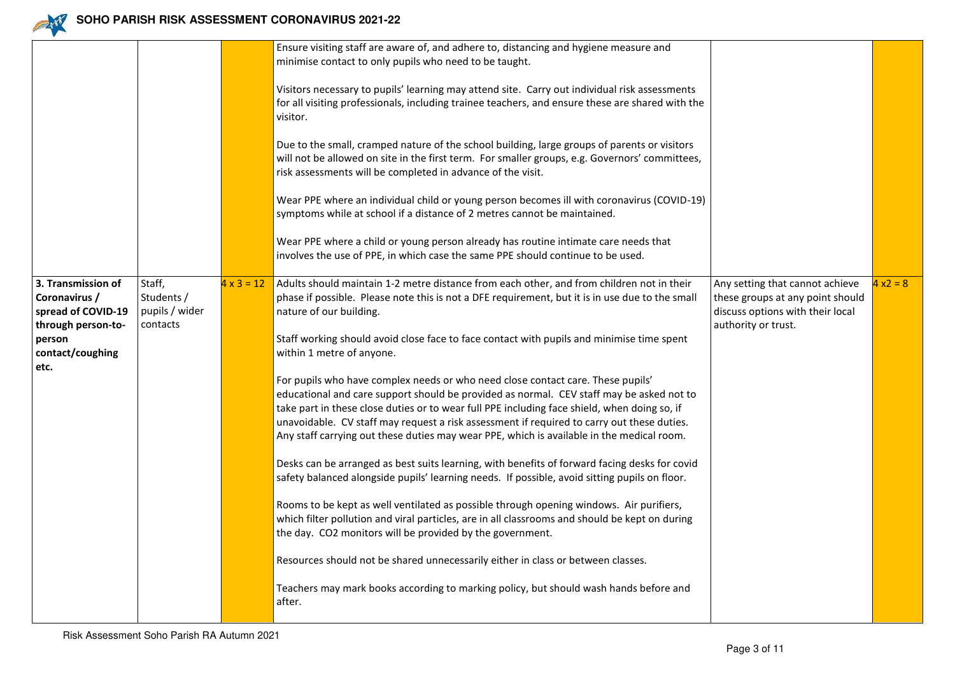

|                                                                                                                       |                                                    |                   | Ensure visiting staff are aware of, and adhere to, distancing and hygiene measure and                                                                                                                                                                                                                                                                                                                                                                                                                                                                                                                                                                                                                                                                                                                                                                                                                                                                                                                                                                                                                                                                                                                                                                                                                                                                                                                                                                                          |                                                                                                                                |            |
|-----------------------------------------------------------------------------------------------------------------------|----------------------------------------------------|-------------------|--------------------------------------------------------------------------------------------------------------------------------------------------------------------------------------------------------------------------------------------------------------------------------------------------------------------------------------------------------------------------------------------------------------------------------------------------------------------------------------------------------------------------------------------------------------------------------------------------------------------------------------------------------------------------------------------------------------------------------------------------------------------------------------------------------------------------------------------------------------------------------------------------------------------------------------------------------------------------------------------------------------------------------------------------------------------------------------------------------------------------------------------------------------------------------------------------------------------------------------------------------------------------------------------------------------------------------------------------------------------------------------------------------------------------------------------------------------------------------|--------------------------------------------------------------------------------------------------------------------------------|------------|
|                                                                                                                       |                                                    |                   | minimise contact to only pupils who need to be taught.                                                                                                                                                                                                                                                                                                                                                                                                                                                                                                                                                                                                                                                                                                                                                                                                                                                                                                                                                                                                                                                                                                                                                                                                                                                                                                                                                                                                                         |                                                                                                                                |            |
|                                                                                                                       |                                                    |                   | Visitors necessary to pupils' learning may attend site. Carry out individual risk assessments<br>for all visiting professionals, including trainee teachers, and ensure these are shared with the<br>visitor.                                                                                                                                                                                                                                                                                                                                                                                                                                                                                                                                                                                                                                                                                                                                                                                                                                                                                                                                                                                                                                                                                                                                                                                                                                                                  |                                                                                                                                |            |
|                                                                                                                       |                                                    |                   | Due to the small, cramped nature of the school building, large groups of parents or visitors<br>will not be allowed on site in the first term. For smaller groups, e.g. Governors' committees,<br>risk assessments will be completed in advance of the visit.                                                                                                                                                                                                                                                                                                                                                                                                                                                                                                                                                                                                                                                                                                                                                                                                                                                                                                                                                                                                                                                                                                                                                                                                                  |                                                                                                                                |            |
|                                                                                                                       |                                                    |                   | Wear PPE where an individual child or young person becomes ill with coronavirus (COVID-19)<br>symptoms while at school if a distance of 2 metres cannot be maintained.                                                                                                                                                                                                                                                                                                                                                                                                                                                                                                                                                                                                                                                                                                                                                                                                                                                                                                                                                                                                                                                                                                                                                                                                                                                                                                         |                                                                                                                                |            |
|                                                                                                                       |                                                    |                   | Wear PPE where a child or young person already has routine intimate care needs that<br>involves the use of PPE, in which case the same PPE should continue to be used.                                                                                                                                                                                                                                                                                                                                                                                                                                                                                                                                                                                                                                                                                                                                                                                                                                                                                                                                                                                                                                                                                                                                                                                                                                                                                                         |                                                                                                                                |            |
| 3. Transmission of<br>Coronavirus /<br>spread of COVID-19<br>through person-to-<br>person<br>contact/coughing<br>etc. | Staff,<br>Students /<br>pupils / wider<br>contacts | $4 \times 3 = 12$ | Adults should maintain 1-2 metre distance from each other, and from children not in their<br>phase if possible. Please note this is not a DFE requirement, but it is in use due to the small<br>nature of our building.<br>Staff working should avoid close face to face contact with pupils and minimise time spent<br>within 1 metre of anyone.<br>For pupils who have complex needs or who need close contact care. These pupils'<br>educational and care support should be provided as normal. CEV staff may be asked not to<br>take part in these close duties or to wear full PPE including face shield, when doing so, if<br>unavoidable. CV staff may request a risk assessment if required to carry out these duties.<br>Any staff carrying out these duties may wear PPE, which is available in the medical room.<br>Desks can be arranged as best suits learning, with benefits of forward facing desks for covid<br>safety balanced alongside pupils' learning needs. If possible, avoid sitting pupils on floor.<br>Rooms to be kept as well ventilated as possible through opening windows. Air purifiers,<br>which filter pollution and viral particles, are in all classrooms and should be kept on during<br>the day. CO2 monitors will be provided by the government.<br>Resources should not be shared unnecessarily either in class or between classes.<br>Teachers may mark books according to marking policy, but should wash hands before and<br>after. | Any setting that cannot achieve<br>these groups at any point should<br>discuss options with their local<br>authority or trust. | $4 x2 = 8$ |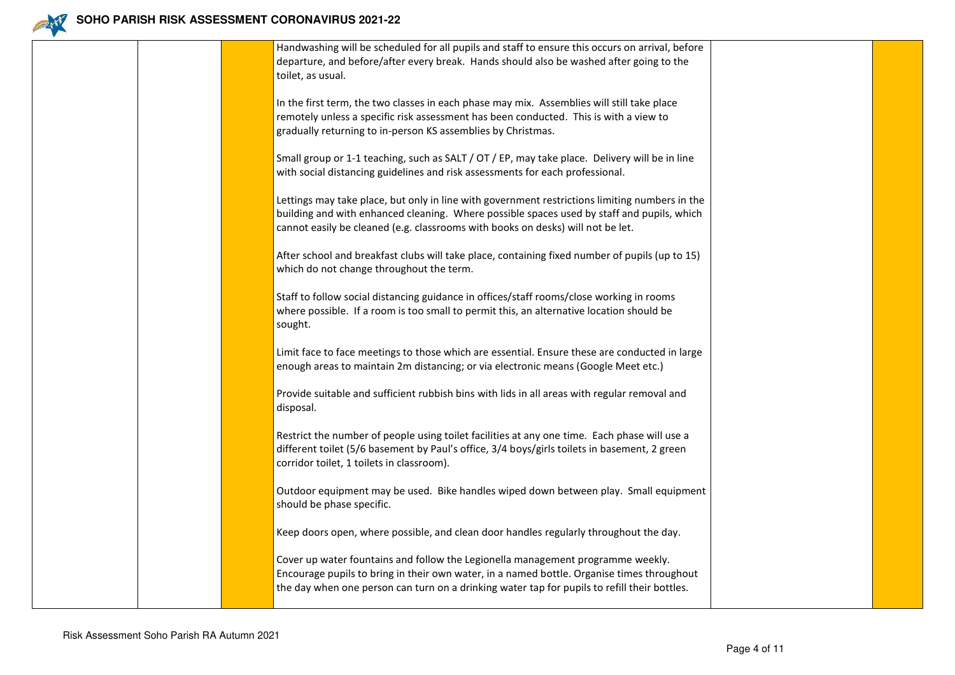

|  | Handwashing will be scheduled for all pupils and staff to ensure this occurs on arrival, before<br>departure, and before/after every break. Hands should also be washed after going to the<br>toilet, as usual.                                                                 |  |
|--|---------------------------------------------------------------------------------------------------------------------------------------------------------------------------------------------------------------------------------------------------------------------------------|--|
|  | In the first term, the two classes in each phase may mix. Assemblies will still take place<br>remotely unless a specific risk assessment has been conducted. This is with a view to<br>gradually returning to in-person KS assemblies by Christmas.                             |  |
|  | Small group or 1-1 teaching, such as SALT / OT / EP, may take place. Delivery will be in line<br>with social distancing guidelines and risk assessments for each professional.                                                                                                  |  |
|  | Lettings may take place, but only in line with government restrictions limiting numbers in the<br>building and with enhanced cleaning. Where possible spaces used by staff and pupils, which<br>cannot easily be cleaned (e.g. classrooms with books on desks) will not be let. |  |
|  | After school and breakfast clubs will take place, containing fixed number of pupils (up to 15)<br>which do not change throughout the term.                                                                                                                                      |  |
|  | Staff to follow social distancing guidance in offices/staff rooms/close working in rooms<br>where possible. If a room is too small to permit this, an alternative location should be<br>sought.                                                                                 |  |
|  | Limit face to face meetings to those which are essential. Ensure these are conducted in large<br>enough areas to maintain 2m distancing; or via electronic means (Google Meet etc.)                                                                                             |  |
|  | Provide suitable and sufficient rubbish bins with lids in all areas with regular removal and<br>disposal.                                                                                                                                                                       |  |
|  | Restrict the number of people using toilet facilities at any one time. Each phase will use a<br>different toilet (5/6 basement by Paul's office, 3/4 boys/girls toilets in basement, 2 green<br>corridor toilet, 1 toilets in classroom).                                       |  |
|  | Outdoor equipment may be used. Bike handles wiped down between play. Small equipment<br>should be phase specific.                                                                                                                                                               |  |
|  | Keep doors open, where possible, and clean door handles regularly throughout the day.                                                                                                                                                                                           |  |
|  | Cover up water fountains and follow the Legionella management programme weekly.<br>Encourage pupils to bring in their own water, in a named bottle. Organise times throughout<br>the day when one person can turn on a drinking water tap for pupils to refill their bottles.   |  |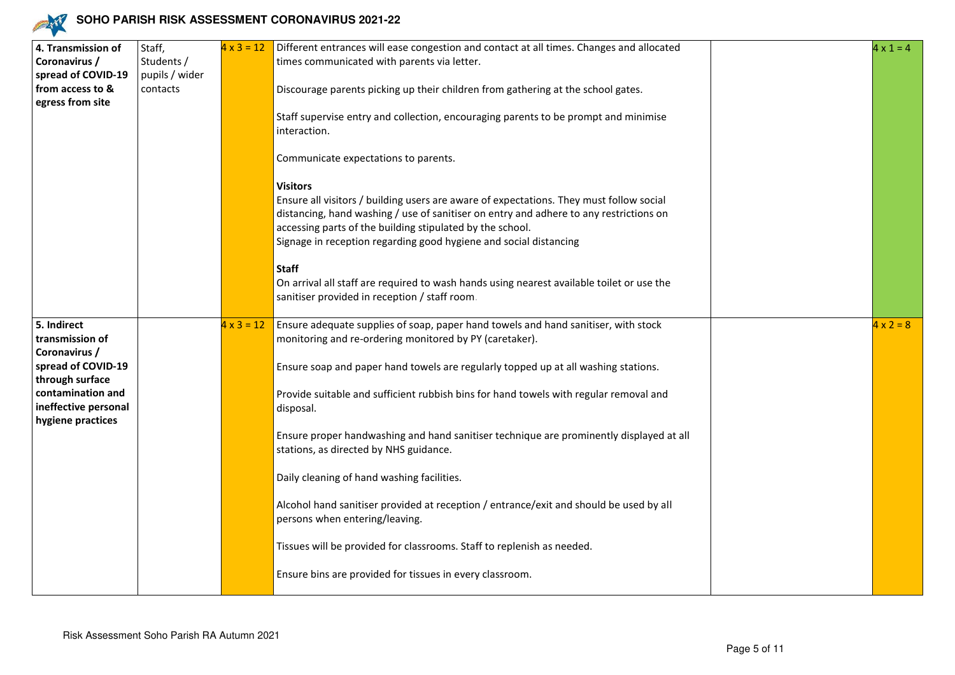

| 4. Transmission of                        | Staff,         | $4 \times 3 = 12$ | Different entrances will ease congestion and contact at all times. Changes and allocated                                                                                                                                                                                                                                               | $4 \times 1 = 4$ |
|-------------------------------------------|----------------|-------------------|----------------------------------------------------------------------------------------------------------------------------------------------------------------------------------------------------------------------------------------------------------------------------------------------------------------------------------------|------------------|
| Coronavirus /                             | Students /     |                   | times communicated with parents via letter.                                                                                                                                                                                                                                                                                            |                  |
| spread of COVID-19                        | pupils / wider |                   |                                                                                                                                                                                                                                                                                                                                        |                  |
| from access to &                          | contacts       |                   | Discourage parents picking up their children from gathering at the school gates.                                                                                                                                                                                                                                                       |                  |
| egress from site                          |                |                   | Staff supervise entry and collection, encouraging parents to be prompt and minimise<br>interaction.                                                                                                                                                                                                                                    |                  |
|                                           |                |                   | Communicate expectations to parents.                                                                                                                                                                                                                                                                                                   |                  |
|                                           |                |                   | <b>Visitors</b><br>Ensure all visitors / building users are aware of expectations. They must follow social<br>distancing, hand washing / use of sanitiser on entry and adhere to any restrictions on<br>accessing parts of the building stipulated by the school.<br>Signage in reception regarding good hygiene and social distancing |                  |
|                                           |                |                   | <b>Staff</b><br>On arrival all staff are required to wash hands using nearest available toilet or use the<br>sanitiser provided in reception / staff room.                                                                                                                                                                             |                  |
| 5. Indirect                               |                | $4 \times 3 = 12$ | Ensure adequate supplies of soap, paper hand towels and hand sanitiser, with stock                                                                                                                                                                                                                                                     | $4 \times 2 = 8$ |
| transmission of                           |                |                   | monitoring and re-ordering monitored by PY (caretaker).                                                                                                                                                                                                                                                                                |                  |
| Coronavirus /                             |                |                   |                                                                                                                                                                                                                                                                                                                                        |                  |
| spread of COVID-19                        |                |                   | Ensure soap and paper hand towels are regularly topped up at all washing stations.                                                                                                                                                                                                                                                     |                  |
| through surface                           |                |                   |                                                                                                                                                                                                                                                                                                                                        |                  |
| contamination and<br>ineffective personal |                |                   | Provide suitable and sufficient rubbish bins for hand towels with regular removal and                                                                                                                                                                                                                                                  |                  |
| hygiene practices                         |                |                   | disposal.                                                                                                                                                                                                                                                                                                                              |                  |
|                                           |                |                   | Ensure proper handwashing and hand sanitiser technique are prominently displayed at all<br>stations, as directed by NHS guidance.                                                                                                                                                                                                      |                  |
|                                           |                |                   | Daily cleaning of hand washing facilities.                                                                                                                                                                                                                                                                                             |                  |
|                                           |                |                   | Alcohol hand sanitiser provided at reception / entrance/exit and should be used by all<br>persons when entering/leaving.                                                                                                                                                                                                               |                  |
|                                           |                |                   | Tissues will be provided for classrooms. Staff to replenish as needed.                                                                                                                                                                                                                                                                 |                  |
|                                           |                |                   | Ensure bins are provided for tissues in every classroom.                                                                                                                                                                                                                                                                               |                  |
|                                           |                |                   |                                                                                                                                                                                                                                                                                                                                        |                  |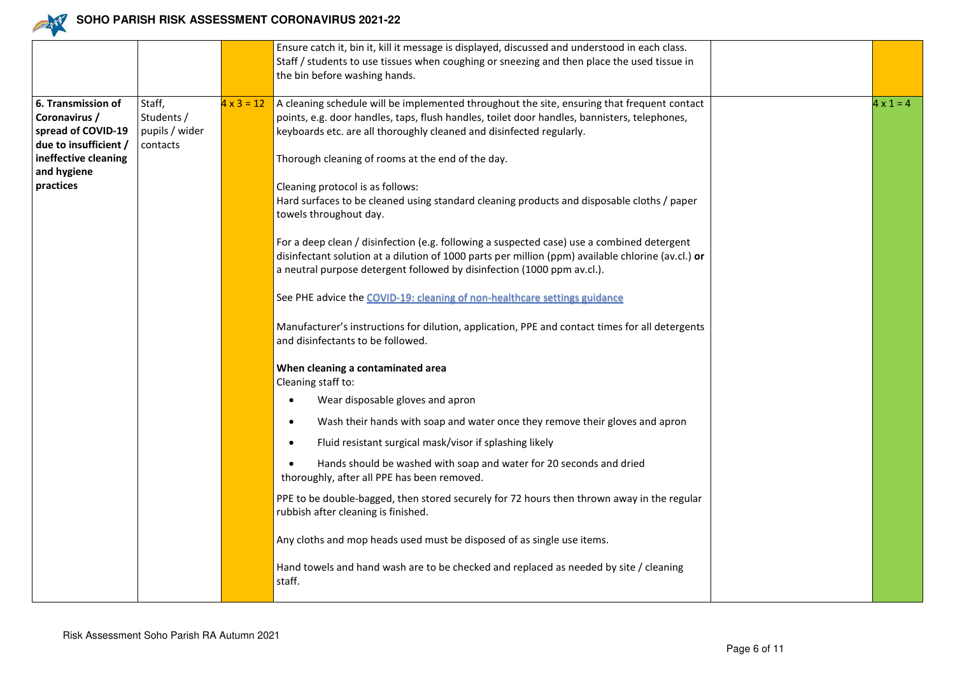

|                       |                |                   | Ensure catch it, bin it, kill it message is displayed, discussed and understood in each class.     |                  |
|-----------------------|----------------|-------------------|----------------------------------------------------------------------------------------------------|------------------|
|                       |                |                   | Staff / students to use tissues when coughing or sneezing and then place the used tissue in        |                  |
|                       |                |                   | the bin before washing hands.                                                                      |                  |
|                       |                |                   |                                                                                                    |                  |
| 6. Transmission of    | Staff,         | $4 \times 3 = 12$ | A cleaning schedule will be implemented throughout the site, ensuring that frequent contact        | $4 \times 1 = 4$ |
| Coronavirus /         | Students /     |                   | points, e.g. door handles, taps, flush handles, toilet door handles, bannisters, telephones,       |                  |
| spread of COVID-19    | pupils / wider |                   | keyboards etc. are all thoroughly cleaned and disinfected regularly.                               |                  |
| due to insufficient / | contacts       |                   |                                                                                                    |                  |
| ineffective cleaning  |                |                   | Thorough cleaning of rooms at the end of the day.                                                  |                  |
| and hygiene           |                |                   |                                                                                                    |                  |
| practices             |                |                   | Cleaning protocol is as follows:                                                                   |                  |
|                       |                |                   | Hard surfaces to be cleaned using standard cleaning products and disposable cloths / paper         |                  |
|                       |                |                   | towels throughout day.                                                                             |                  |
|                       |                |                   |                                                                                                    |                  |
|                       |                |                   | For a deep clean / disinfection (e.g. following a suspected case) use a combined detergent         |                  |
|                       |                |                   | disinfectant solution at a dilution of 1000 parts per million (ppm) available chlorine (av.cl.) or |                  |
|                       |                |                   | a neutral purpose detergent followed by disinfection (1000 ppm av.cl.).                            |                  |
|                       |                |                   |                                                                                                    |                  |
|                       |                |                   | See PHE advice the COVID-19: cleaning of non-healthcare settings guidance                          |                  |
|                       |                |                   |                                                                                                    |                  |
|                       |                |                   | Manufacturer's instructions for dilution, application, PPE and contact times for all detergents    |                  |
|                       |                |                   | and disinfectants to be followed.                                                                  |                  |
|                       |                |                   |                                                                                                    |                  |
|                       |                |                   | When cleaning a contaminated area                                                                  |                  |
|                       |                |                   | Cleaning staff to:                                                                                 |                  |
|                       |                |                   | Wear disposable gloves and apron                                                                   |                  |
|                       |                |                   | Wash their hands with soap and water once they remove their gloves and apron                       |                  |
|                       |                |                   | Fluid resistant surgical mask/visor if splashing likely                                            |                  |
|                       |                |                   | Hands should be washed with soap and water for 20 seconds and dried                                |                  |
|                       |                |                   | thoroughly, after all PPE has been removed.                                                        |                  |
|                       |                |                   |                                                                                                    |                  |
|                       |                |                   | PPE to be double-bagged, then stored securely for 72 hours then thrown away in the regular         |                  |
|                       |                |                   | rubbish after cleaning is finished.                                                                |                  |
|                       |                |                   |                                                                                                    |                  |
|                       |                |                   | Any cloths and mop heads used must be disposed of as single use items.                             |                  |
|                       |                |                   | Hand towels and hand wash are to be checked and replaced as needed by site / cleaning              |                  |
|                       |                |                   | staff.                                                                                             |                  |
|                       |                |                   |                                                                                                    |                  |
|                       |                |                   |                                                                                                    |                  |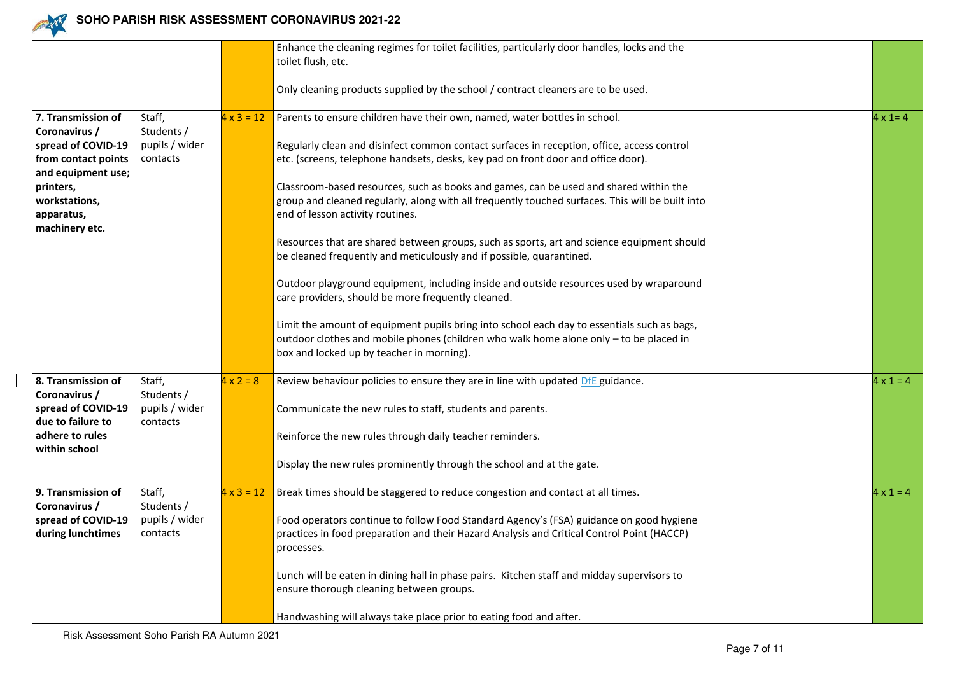

|                     |                |                   | Enhance the cleaning regimes for toilet facilities, particularly door handles, locks and the     |                  |
|---------------------|----------------|-------------------|--------------------------------------------------------------------------------------------------|------------------|
|                     |                |                   | toilet flush, etc.                                                                               |                  |
|                     |                |                   |                                                                                                  |                  |
|                     |                |                   | Only cleaning products supplied by the school / contract cleaners are to be used.                |                  |
|                     |                |                   |                                                                                                  |                  |
| 7. Transmission of  | Staff,         | $4 \times 3 = 12$ | Parents to ensure children have their own, named, water bottles in school.                       | $4 \times 1 = 4$ |
| Coronavirus /       | Students /     |                   |                                                                                                  |                  |
| spread of COVID-19  | pupils / wider |                   | Regularly clean and disinfect common contact surfaces in reception, office, access control       |                  |
| from contact points | contacts       |                   | etc. (screens, telephone handsets, desks, key pad on front door and office door).                |                  |
| and equipment use;  |                |                   |                                                                                                  |                  |
| printers,           |                |                   | Classroom-based resources, such as books and games, can be used and shared within the            |                  |
| workstations,       |                |                   | group and cleaned regularly, along with all frequently touched surfaces. This will be built into |                  |
| apparatus,          |                |                   | end of lesson activity routines.                                                                 |                  |
| machinery etc.      |                |                   |                                                                                                  |                  |
|                     |                |                   | Resources that are shared between groups, such as sports, art and science equipment should       |                  |
|                     |                |                   | be cleaned frequently and meticulously and if possible, quarantined.                             |                  |
|                     |                |                   |                                                                                                  |                  |
|                     |                |                   | Outdoor playground equipment, including inside and outside resources used by wraparound          |                  |
|                     |                |                   | care providers, should be more frequently cleaned.                                               |                  |
|                     |                |                   |                                                                                                  |                  |
|                     |                |                   | Limit the amount of equipment pupils bring into school each day to essentials such as bags,      |                  |
|                     |                |                   | outdoor clothes and mobile phones (children who walk home alone only - to be placed in           |                  |
|                     |                |                   | box and locked up by teacher in morning).                                                        |                  |
|                     |                |                   |                                                                                                  |                  |
| 8. Transmission of  | Staff,         | $4 \times 2 = 8$  | Review behaviour policies to ensure they are in line with updated DfE guidance.                  | $4 \times 1 = 4$ |
| Coronavirus /       | Students /     |                   |                                                                                                  |                  |
| spread of COVID-19  | pupils / wider |                   | Communicate the new rules to staff, students and parents.                                        |                  |
| due to failure to   | contacts       |                   |                                                                                                  |                  |
| adhere to rules     |                |                   | Reinforce the new rules through daily teacher reminders.                                         |                  |
| within school       |                |                   |                                                                                                  |                  |
|                     |                |                   | Display the new rules prominently through the school and at the gate.                            |                  |
|                     |                |                   |                                                                                                  |                  |
| 9. Transmission of  | Staff,         | $4 \times 3 = 12$ | Break times should be staggered to reduce congestion and contact at all times.                   | $4 \times 1 = 4$ |
| Coronavirus /       | Students /     |                   |                                                                                                  |                  |
| spread of COVID-19  | pupils / wider |                   | Food operators continue to follow Food Standard Agency's (FSA) guidance on good hygiene          |                  |
| during lunchtimes   | contacts       |                   | practices in food preparation and their Hazard Analysis and Critical Control Point (HACCP)       |                  |
|                     |                |                   | processes.                                                                                       |                  |
|                     |                |                   |                                                                                                  |                  |
|                     |                |                   | Lunch will be eaten in dining hall in phase pairs. Kitchen staff and midday supervisors to       |                  |
|                     |                |                   | ensure thorough cleaning between groups.                                                         |                  |
|                     |                |                   |                                                                                                  |                  |
|                     |                |                   | Handwashing will always take place prior to eating food and after.                               |                  |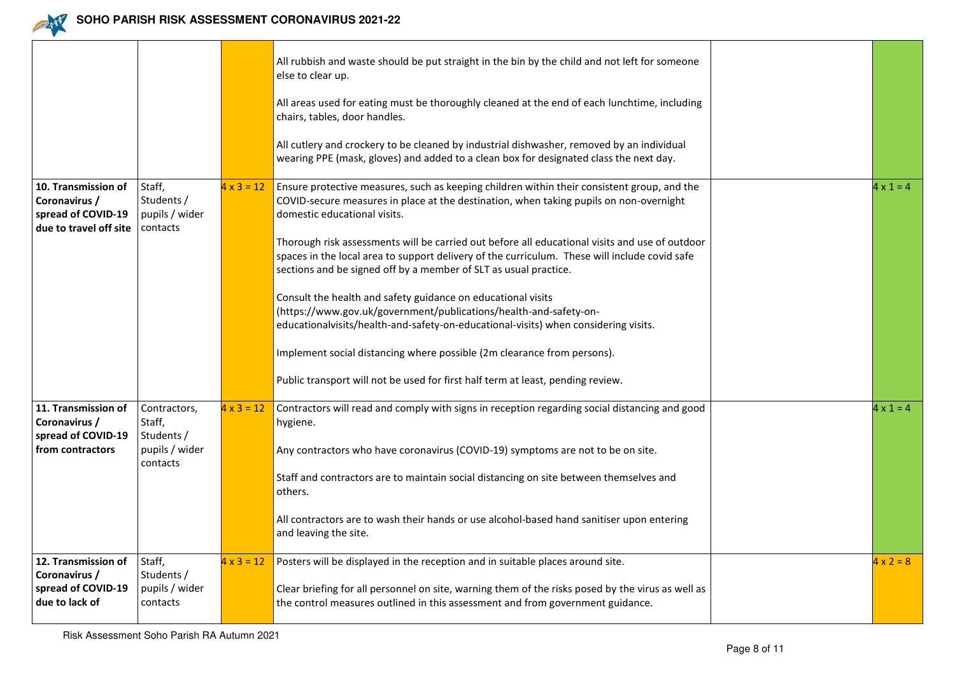

|                                        |                                          |                   | All rubbish and waste should be put straight in the bin by the child and not left for someone<br>else to clear up.<br>All areas used for eating must be thoroughly cleaned at the end of each lunchtime, including<br>chairs, tables, door handles.<br>All cutlery and crockery to be cleaned by industrial dishwasher, removed by an individual<br>wearing PPE (mask, gloves) and added to a clean box for designated class the next day. |                  |
|----------------------------------------|------------------------------------------|-------------------|--------------------------------------------------------------------------------------------------------------------------------------------------------------------------------------------------------------------------------------------------------------------------------------------------------------------------------------------------------------------------------------------------------------------------------------------|------------------|
| 10. Transmission of                    | Staff,<br>Students /                     | $4 \times 3 = 12$ | Ensure protective measures, such as keeping children within their consistent group, and the                                                                                                                                                                                                                                                                                                                                                | $4 \times 1 = 4$ |
| Coronavirus /<br>spread of COVID-19    | pupils / wider                           |                   | COVID-secure measures in place at the destination, when taking pupils on non-overnight<br>domestic educational visits.                                                                                                                                                                                                                                                                                                                     |                  |
| due to travel off site                 | contacts                                 |                   | Thorough risk assessments will be carried out before all educational visits and use of outdoor<br>spaces in the local area to support delivery of the curriculum. These will include covid safe<br>sections and be signed off by a member of SLT as usual practice.                                                                                                                                                                        |                  |
|                                        |                                          |                   | Consult the health and safety guidance on educational visits<br>(https://www.gov.uk/government/publications/health-and-safety-on-<br>educationalvisits/health-and-safety-on-educational-visits) when considering visits.                                                                                                                                                                                                                   |                  |
|                                        |                                          |                   | Implement social distancing where possible (2m clearance from persons).                                                                                                                                                                                                                                                                                                                                                                    |                  |
|                                        |                                          |                   | Public transport will not be used for first half term at least, pending review.                                                                                                                                                                                                                                                                                                                                                            |                  |
| 11. Transmission of<br>Coronavirus /   | Contractors,<br>Staff,                   | $4 \times 3 = 12$ | Contractors will read and comply with signs in reception regarding social distancing and good<br>hygiene.                                                                                                                                                                                                                                                                                                                                  | $4 \times 1 = 4$ |
| spread of COVID-19<br>from contractors | Students /<br>pupils / wider<br>contacts |                   | Any contractors who have coronavirus (COVID-19) symptoms are not to be on site.                                                                                                                                                                                                                                                                                                                                                            |                  |
|                                        |                                          |                   | Staff and contractors are to maintain social distancing on site between themselves and<br>others.                                                                                                                                                                                                                                                                                                                                          |                  |
|                                        |                                          |                   | All contractors are to wash their hands or use alcohol-based hand sanitiser upon entering<br>and leaving the site.                                                                                                                                                                                                                                                                                                                         |                  |
| 12. Transmission of<br>Coronavirus /   | Staff,<br>Students /                     | $4 \times 3 = 12$ | Posters will be displayed in the reception and in suitable places around site.                                                                                                                                                                                                                                                                                                                                                             | $4 \times 2 = 8$ |
| spread of COVID-19<br>due to lack of   | pupils / wider<br>contacts               |                   | Clear briefing for all personnel on site, warning them of the risks posed by the virus as well as<br>the control measures outlined in this assessment and from government guidance.                                                                                                                                                                                                                                                        |                  |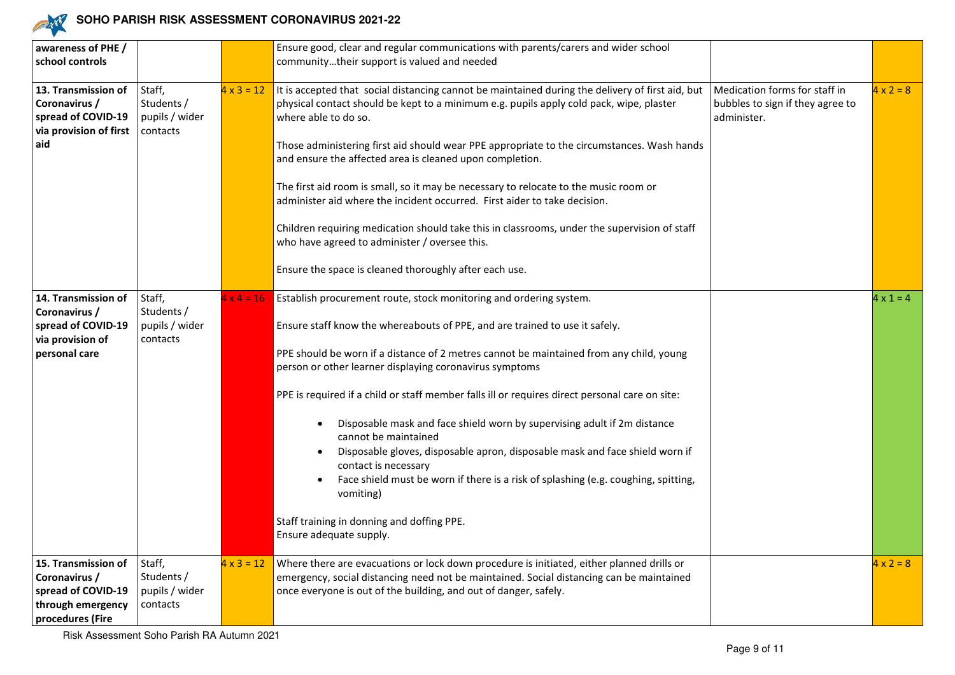

| awareness of PHE /<br>school controls                                                               |                                                    |                   | Ensure good, clear and regular communications with parents/carers and wider school<br>communitytheir support is valued and needed                                                                                                                                                                                                                                                                                                                                                                                                                                                                                                                                                                                                                                                                 |                                                                                  |                  |
|-----------------------------------------------------------------------------------------------------|----------------------------------------------------|-------------------|---------------------------------------------------------------------------------------------------------------------------------------------------------------------------------------------------------------------------------------------------------------------------------------------------------------------------------------------------------------------------------------------------------------------------------------------------------------------------------------------------------------------------------------------------------------------------------------------------------------------------------------------------------------------------------------------------------------------------------------------------------------------------------------------------|----------------------------------------------------------------------------------|------------------|
| 13. Transmission of<br>Coronavirus /<br>spread of COVID-19<br>via provision of first<br>aid         | Staff,<br>Students /<br>pupils / wider<br>contacts | $4 \times 3 = 12$ | It is accepted that social distancing cannot be maintained during the delivery of first aid, but<br>physical contact should be kept to a minimum e.g. pupils apply cold pack, wipe, plaster<br>where able to do so.<br>Those administering first aid should wear PPE appropriate to the circumstances. Wash hands<br>and ensure the affected area is cleaned upon completion.<br>The first aid room is small, so it may be necessary to relocate to the music room or<br>administer aid where the incident occurred. First aider to take decision.<br>Children requiring medication should take this in classrooms, under the supervision of staff<br>who have agreed to administer / oversee this.<br>Ensure the space is cleaned thoroughly after each use.                                     | Medication forms for staff in<br>bubbles to sign if they agree to<br>administer. | $4 \times 2 = 8$ |
| 14. Transmission of<br>Coronavirus /<br>spread of COVID-19<br>via provision of<br>personal care     | Staff,<br>Students /<br>pupils / wider<br>contacts | $4 \times 4 = 16$ | Establish procurement route, stock monitoring and ordering system.<br>Ensure staff know the whereabouts of PPE, and are trained to use it safely.<br>PPE should be worn if a distance of 2 metres cannot be maintained from any child, young<br>person or other learner displaying coronavirus symptoms<br>PPE is required if a child or staff member falls ill or requires direct personal care on site:<br>Disposable mask and face shield worn by supervising adult if 2m distance<br>cannot be maintained<br>Disposable gloves, disposable apron, disposable mask and face shield worn if<br>contact is necessary<br>Face shield must be worn if there is a risk of splashing (e.g. coughing, spitting,<br>vomiting)<br>Staff training in donning and doffing PPE.<br>Ensure adequate supply. |                                                                                  | $4 \times 1 = 4$ |
| 15. Transmission of<br>Coronavirus /<br>spread of COVID-19<br>through emergency<br>procedures (Fire | Staff,<br>Students /<br>pupils / wider<br>contacts | $4 \times 3 = 12$ | Where there are evacuations or lock down procedure is initiated, either planned drills or<br>emergency, social distancing need not be maintained. Social distancing can be maintained<br>once everyone is out of the building, and out of danger, safely.                                                                                                                                                                                                                                                                                                                                                                                                                                                                                                                                         |                                                                                  | $4 \times 2 = 8$ |

Risk Assessment Soho Parish RA Autumn 2021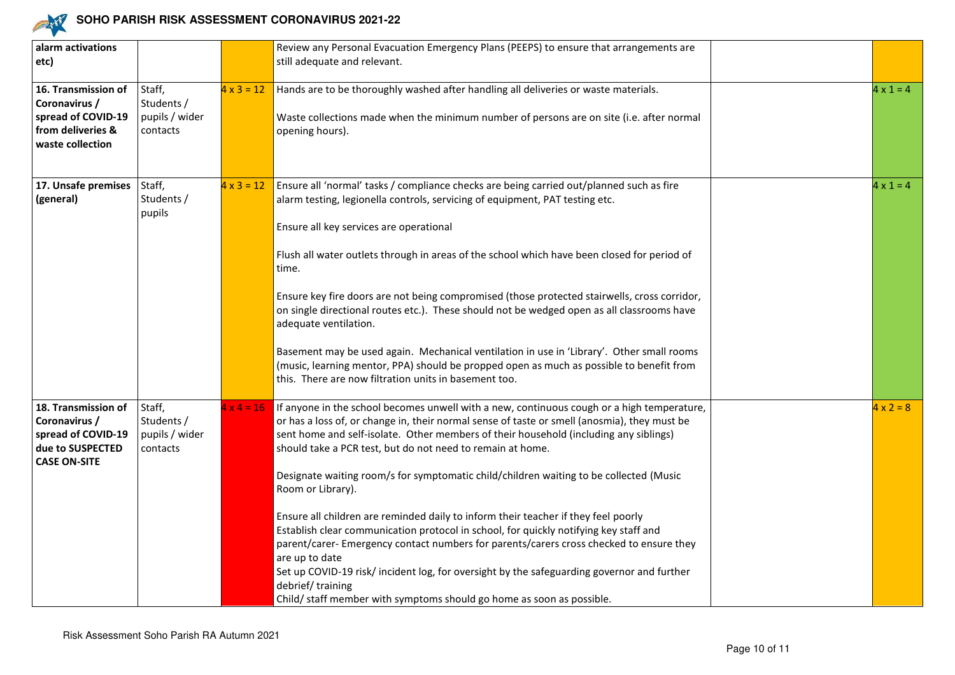

| alarm activations<br>etc)                                                                             |                                                    |                   | Review any Personal Evacuation Emergency Plans (PEEPS) to ensure that arrangements are<br>still adequate and relevant.                                                                                                                                                                                                                                                                                                                                                                                                                                                                                                                                                                                                                                                                                                                                                                                                                                 |                  |
|-------------------------------------------------------------------------------------------------------|----------------------------------------------------|-------------------|--------------------------------------------------------------------------------------------------------------------------------------------------------------------------------------------------------------------------------------------------------------------------------------------------------------------------------------------------------------------------------------------------------------------------------------------------------------------------------------------------------------------------------------------------------------------------------------------------------------------------------------------------------------------------------------------------------------------------------------------------------------------------------------------------------------------------------------------------------------------------------------------------------------------------------------------------------|------------------|
| 16. Transmission of<br>Coronavirus /<br>spread of COVID-19<br>from deliveries &<br>waste collection   | Staff,<br>Students /<br>pupils / wider<br>contacts | $4 \times 3 = 12$ | Hands are to be thoroughly washed after handling all deliveries or waste materials.<br>Waste collections made when the minimum number of persons are on site (i.e. after normal<br>opening hours).                                                                                                                                                                                                                                                                                                                                                                                                                                                                                                                                                                                                                                                                                                                                                     | $4 \times 1 = 4$ |
| 17. Unsafe premises<br>(general)                                                                      | Staff,<br>Students /<br>pupils                     | $4 \times 3 = 12$ | Ensure all 'normal' tasks / compliance checks are being carried out/planned such as fire<br>alarm testing, legionella controls, servicing of equipment, PAT testing etc.<br>Ensure all key services are operational<br>Flush all water outlets through in areas of the school which have been closed for period of<br>time.<br>Ensure key fire doors are not being compromised (those protected stairwells, cross corridor,<br>on single directional routes etc.). These should not be wedged open as all classrooms have<br>adequate ventilation.<br>Basement may be used again. Mechanical ventilation in use in 'Library'. Other small rooms<br>(music, learning mentor, PPA) should be propped open as much as possible to benefit from<br>this. There are now filtration units in basement too.                                                                                                                                                   | $4 \times 1 = 4$ |
| 18. Transmission of<br>Coronavirus /<br>spread of COVID-19<br>due to SUSPECTED<br><b>CASE ON-SITE</b> | Staff,<br>Students /<br>pupils / wider<br>contacts | $4 \times 4 = 16$ | If anyone in the school becomes unwell with a new, continuous cough or a high temperature,<br>or has a loss of, or change in, their normal sense of taste or smell (anosmia), they must be<br>sent home and self-isolate. Other members of their household (including any siblings)<br>should take a PCR test, but do not need to remain at home.<br>Designate waiting room/s for symptomatic child/children waiting to be collected (Music<br>Room or Library).<br>Ensure all children are reminded daily to inform their teacher if they feel poorly<br>Establish clear communication protocol in school, for quickly notifying key staff and<br>parent/carer- Emergency contact numbers for parents/carers cross checked to ensure they<br>are up to date<br>Set up COVID-19 risk/incident log, for oversight by the safeguarding governor and further<br>debrief/training<br>Child/ staff member with symptoms should go home as soon as possible. | $4 \times 2 = 8$ |